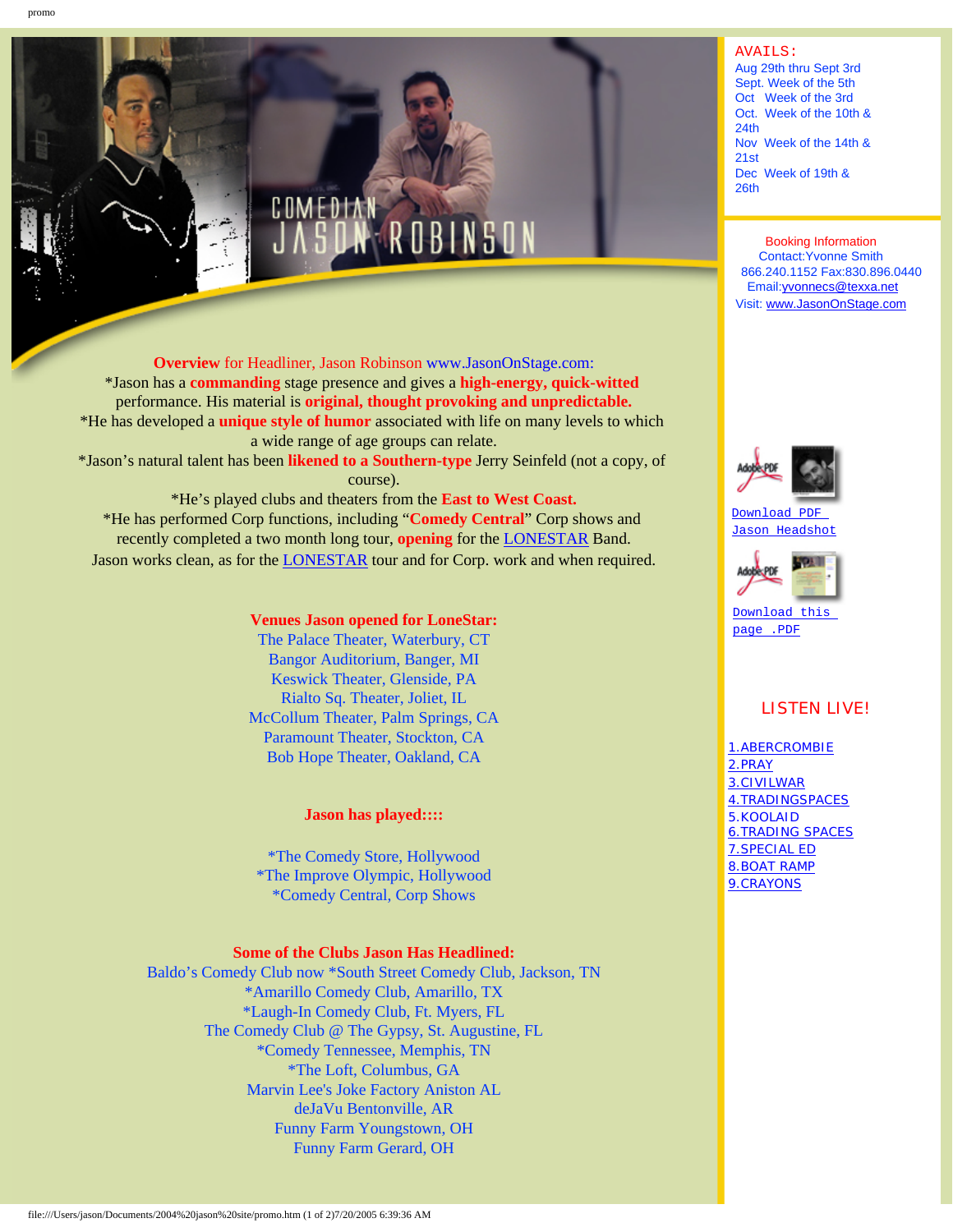

**Overview** for Headliner, Jason Robinson www.JasonOnStage.com: \*Jason has a **commanding** stage presence and gives a **high-energy, quick-witted**  performance. His material is **original, thought provoking and unpredictable.** \*He has developed a **unique style of humor** associated with life on many levels to which a wide range of age groups can relate. \*Jason's natural talent has been **likened to a Southern-type** Jerry Seinfeld (not a copy, of

course). \*He's played clubs and theaters from the **East to West Coast.** \*He has performed Corp functions, including "**Comedy Central**" Corp shows and recently completed a two month long tour, **opening** for the [LONESTAR](http://www.lonestar.mu/) Band. Jason works clean, as for the [LONESTAR](http://www.lonestar.mu/) tour and for Corp. work and when required.

### **Venues Jason opened for LoneStar:**

The Palace Theater, Waterbury, CT Bangor Auditorium, Banger, MI Keswick Theater, Glenside, PA Rialto Sq. Theater, Joliet, IL McCollum Theater, Palm Springs, CA Paramount Theater, Stockton, CA Bob Hope Theater, Oakland, CA

# **Jason has played::::**

\*The Comedy Store, Hollywood \*The Improve Olympic, Hollywood \*Comedy Central, Corp Shows

# **Some of the Clubs Jason Has Headlined:**

Baldo's Comedy Club now \*South Street Comedy Club, Jackson, TN \*Amarillo Comedy Club, Amarillo, TX \*Laugh-In Comedy Club, Ft. Myers, FL The Comedy Club @ The Gypsy, St. Augustine, FL \*Comedy Tennessee, Memphis, TN \*The Loft, Columbus, GA Marvin Lee's Joke Factory Aniston AL deJaVu Bentonville, AR Funny Farm Youngstown, OH Funny Farm Gerard, OH

#### AVAILS:

Aug 29th thru Sept 3rd Sept. Week of the 5th Oct Week of the 3rd Oct. Week of the 10th & 24th Nov Week of the 14th & 21st Dec Week of 19th & 26th

Booking Information Contact:Yvonne Smith 866.240.1152 Fax:830.896.0440 Email:[yvonnecs@texxa.net](mailto:yvonnecs@texxa.net) Visit: [www.JasonOnStage.com](http://www.jasononstage.com/)



[Download PDF](#page-2-0) [Jason Headshot](#page-2-0)



Download this [page .PDF](file:///Users/jason/Documents/2004%20jason%20site/PROMO.pdf)

# LISTEN LIVE!

[1.ABERCROMBIE](file:///Users/jason/Documents/2004%20jason%20site/Abercrombie56K_Aud_Stre001.mov) [2.PRAY](file:///Users/jason/Documents/2004%20jason%20site/pray56K_Aud_Stream001.mov) [3.CIVILWAR](file:///Users/jason/Documents/2004%20jason%20site/Civilwar56K_Aud_Stream001.mov) [4.TRADINGSPACES](file:///Users/jason/Documents/2004%20jason%20site/Trading%20Spac56K_Aud_Str001.mov) 5.KOOLAID [6.TRADING SPACES](file:///Users/jason/Documents/2004%20jason%20site/Trading%20Spac56K_Aud_Str001.mov) [7.SPECIAL ED](file:///Users/jason/Documents/2004%20jason%20site/My%20Special%20E56K_Aud_Str001.mov) [8.BOAT RAMP](file:///Users/jason/Documents/2004%20jason%20site/Boat%20Ramp56K_Aud_Stream001.mov) [9.CRAYONS](file:///Users/jason/Documents/2004%20jason%20site/My%20Crayons56K_Aud_Strea001.mov)

promo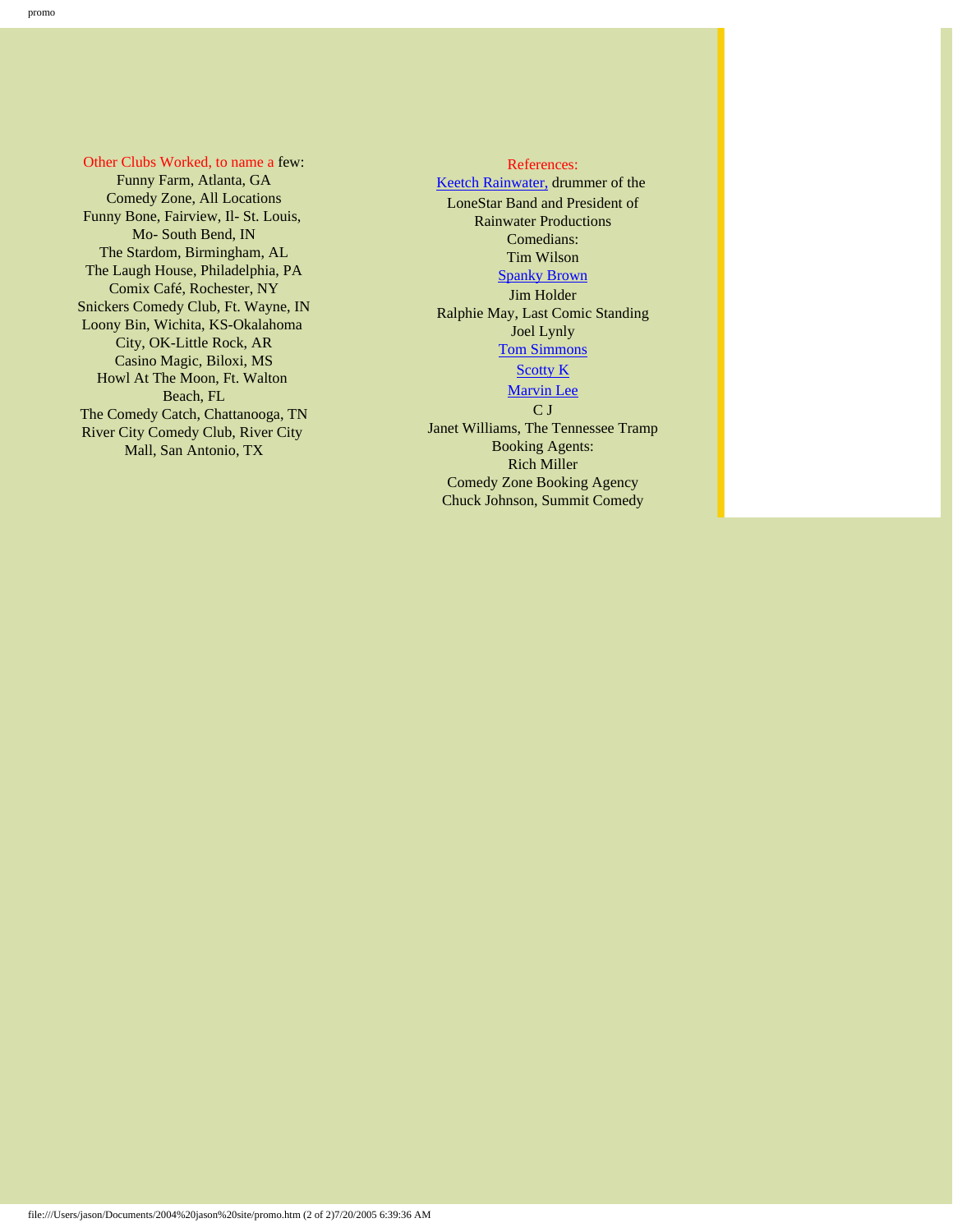Other Clubs Worked, to name a few: Funny Farm, Atlanta, GA Comedy Zone, All Locations Funny Bone, Fairview, Il- St. Louis, Mo- South Bend, IN The Stardom, Birmingham, AL The Laugh House, Philadelphia, PA Comix Café, Rochester, NY Snickers Comedy Club, Ft. Wayne, IN Loony Bin, Wichita, KS-Okalahoma City, OK-Little Rock, AR Casino Magic, Biloxi, MS Howl At The Moon, Ft. Walton Beach, FL The Comedy Catch, Chattanooga, TN River City Comedy Club, River City Mall, San Antonio, TX

#### References:

[Keetch Rainwater,](http://www.rainwaterfilms.com/) drummer of the LoneStar Band and President of Rainwater Productions Comedians: Tim Wilson [Spanky Brown](http://www.spankybrown.net/) Jim Holder Ralphie May, Last Comic Standing Joel Lynly [Tom Simmons](http://www.tomsimmons.net/) [Scotty K](http://www.scottyk.com/) [Marvin Lee](http://www.jokefactorycomedy.com/) C J Janet Williams, The Tennessee Tramp Booking Agents: Rich Miller Comedy Zone Booking Agency Chuck Johnson, Summit Comedy